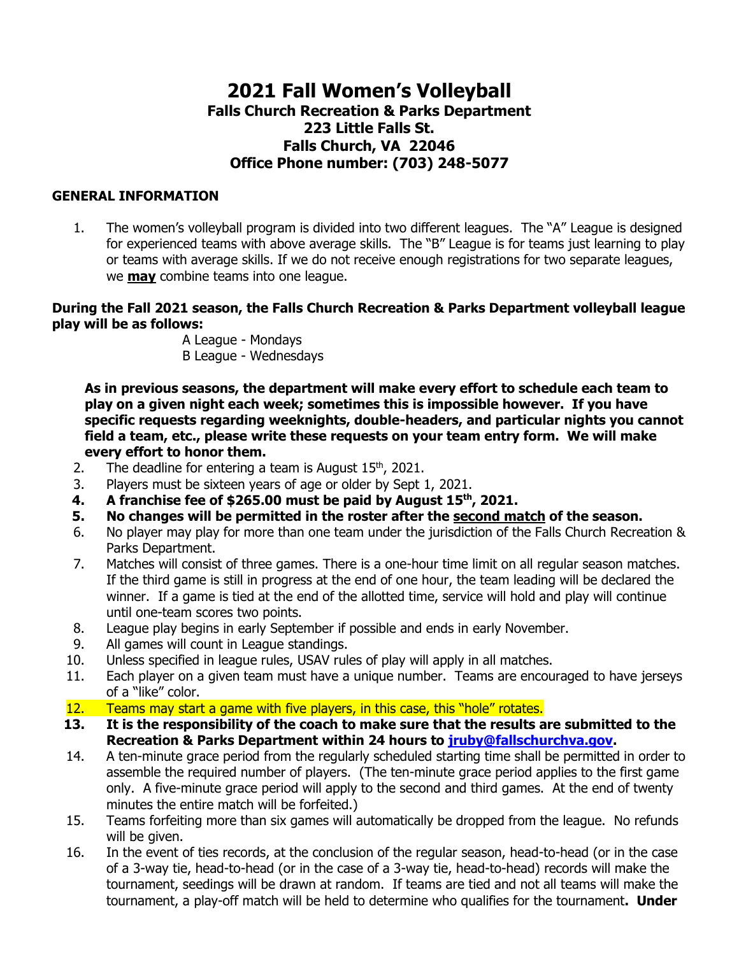# **2021 Fall Women's Volleyball Falls Church Recreation & Parks Department 223 Little Falls St. Falls Church, VA 22046 Office Phone number: (703) 248-5077**

#### **GENERAL INFORMATION**

1. The women's volleyball program is divided into two different leagues. The "A" League is designed for experienced teams with above average skills. The "B" League is for teams just learning to play or teams with average skills. If we do not receive enough registrations for two separate leagues, we **may** combine teams into one league.

**During the Fall 2021 season, the Falls Church Recreation & Parks Department volleyball league play will be as follows:**

A League - Mondays B League - Wednesdays

**As in previous seasons, the department will make every effort to schedule each team to play on a given night each week; sometimes this is impossible however. If you have specific requests regarding weeknights, double-headers, and particular nights you cannot field a team, etc., please write these requests on your team entry form. We will make every effort to honor them.** 

- 2. The deadline for entering a team is August  $15<sup>th</sup>$ , 2021.
- 3. Players must be sixteen years of age or older by Sept 1, 2021.
- **4. A franchise fee of \$265.00 must be paid by August 15th, 2021.**
- **5. No changes will be permitted in the roster after the second match of the season.**
- 6. No player may play for more than one team under the jurisdiction of the Falls Church Recreation & Parks Department.
- 7. Matches will consist of three games. There is a one-hour time limit on all regular season matches. If the third game is still in progress at the end of one hour, the team leading will be declared the winner. If a game is tied at the end of the allotted time, service will hold and play will continue until one-team scores two points.
- 8. League play begins in early September if possible and ends in early November.
- 9. All games will count in League standings.
- 10. Unless specified in league rules, USAV rules of play will apply in all matches.
- 11. Each player on a given team must have a unique number. Teams are encouraged to have jerseys of a "like" color.
- 12. Teams may start a game with five players, in this case, this "hole" rotates.
- **13. It is the responsibility of the coach to make sure that the results are submitted to the Recreation & Parks Department within 24 hours to [jruby@fallschurchva.gov.](mailto:jruby@fallschurchva.gov)**
- 14. A ten-minute grace period from the regularly scheduled starting time shall be permitted in order to assemble the required number of players. (The ten-minute grace period applies to the first game only. A five-minute grace period will apply to the second and third games. At the end of twenty minutes the entire match will be forfeited.)
- 15. Teams forfeiting more than six games will automatically be dropped from the league. No refunds will be given.
- 16. In the event of ties records, at the conclusion of the regular season, head-to-head (or in the case of a 3-way tie, head-to-head (or in the case of a 3-way tie, head-to-head) records will make the tournament, seedings will be drawn at random. If teams are tied and not all teams will make the tournament, a play-off match will be held to determine who qualifies for the tournament**. Under**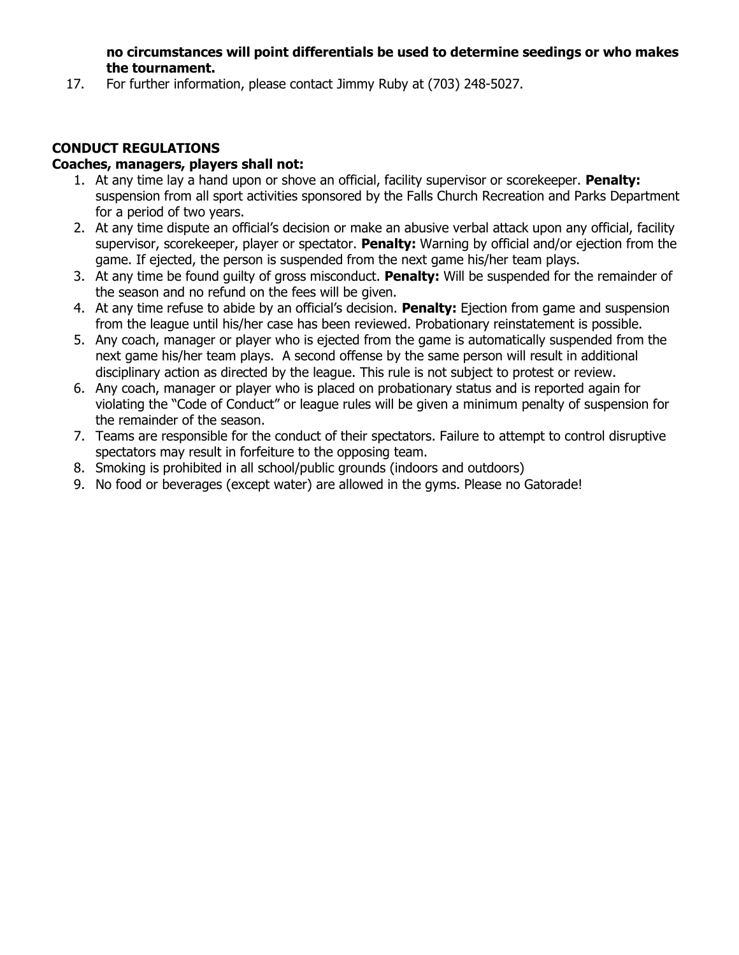**no circumstances will point differentials be used to determine seedings or who makes the tournament.**

17. For further information, please contact Jimmy Ruby at (703) 248-5027.

## **CONDUCT REGULATIONS**

### **Coaches, managers, players shall not:**

- 1. At any time lay a hand upon or shove an official, facility supervisor or scorekeeper. **Penalty:**  suspension from all sport activities sponsored by the Falls Church Recreation and Parks Department for a period of two years.
- 2. At any time dispute an official's decision or make an abusive verbal attack upon any official, facility supervisor, scorekeeper, player or spectator. **Penalty:** Warning by official and/or ejection from the game. If ejected, the person is suspended from the next game his/her team plays.
- 3. At any time be found guilty of gross misconduct. **Penalty:** Will be suspended for the remainder of the season and no refund on the fees will be given.
- 4. At any time refuse to abide by an official's decision. **Penalty:** Ejection from game and suspension from the league until his/her case has been reviewed. Probationary reinstatement is possible.
- 5. Any coach, manager or player who is ejected from the game is automatically suspended from the next game his/her team plays. A second offense by the same person will result in additional disciplinary action as directed by the league. This rule is not subject to protest or review.
- 6. Any coach, manager or player who is placed on probationary status and is reported again for violating the "Code of Conduct" or league rules will be given a minimum penalty of suspension for the remainder of the season.
- 7. Teams are responsible for the conduct of their spectators. Failure to attempt to control disruptive spectators may result in forfeiture to the opposing team.
- 8. Smoking is prohibited in all school/public grounds (indoors and outdoors)
- 9. No food or beverages (except water) are allowed in the gyms. Please no Gatorade!